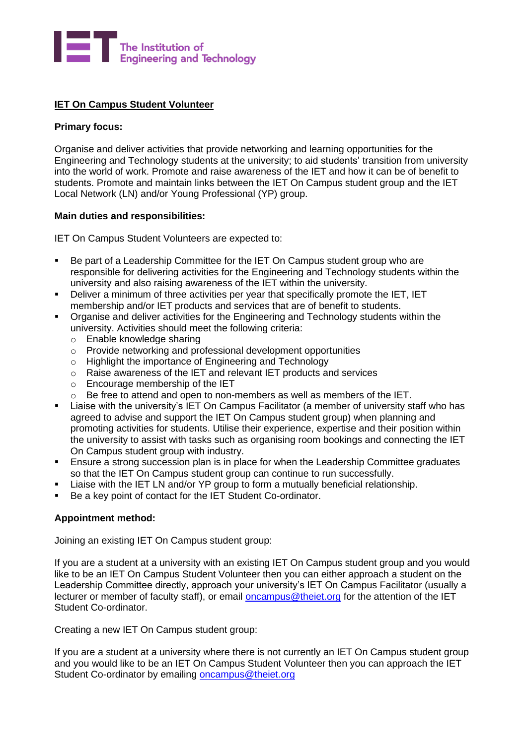

# **IET On Campus Student Volunteer**

### **Primary focus:**

Organise and deliver activities that provide networking and learning opportunities for the Engineering and Technology students at the university; to aid students' transition from university into the world of work. Promote and raise awareness of the IET and how it can be of benefit to students. Promote and maintain links between the IET On Campus student group and the IET Local Network (LN) and/or Young Professional (YP) group.

#### **Main duties and responsibilities:**

IET On Campus Student Volunteers are expected to:

- Be part of a Leadership Committee for the IET On Campus student group who are responsible for delivering activities for the Engineering and Technology students within the university and also raising awareness of the IET within the university.
- Deliver a minimum of three activities per year that specifically promote the IET, IET membership and/or IET products and services that are of benefit to students.
- Organise and deliver activities for the Engineering and Technology students within the university. Activities should meet the following criteria:
	- o Enable knowledge sharing
	- o Provide networking and professional development opportunities
	- o Highlight the importance of Engineering and Technology
	- o Raise awareness of the IET and relevant IET products and services
	- o Encourage membership of the IET
	- o Be free to attend and open to non-members as well as members of the IET.
- Liaise with the university's IET On Campus Facilitator (a member of university staff who has agreed to advise and support the IET On Campus student group) when planning and promoting activities for students. Utilise their experience, expertise and their position within the university to assist with tasks such as organising room bookings and connecting the IET On Campus student group with industry.
- Ensure a strong succession plan is in place for when the Leadership Committee graduates so that the IET On Campus student group can continue to run successfully.
- Liaise with the IET LN and/or YP group to form a mutually beneficial relationship.
- Be a key point of contact for the IET Student Co-ordinator.

# **Appointment method:**

Joining an existing IET On Campus student group:

If you are a student at a university with an existing IET On Campus student group and you would like to be an IET On Campus Student Volunteer then you can either approach a student on the Leadership Committee directly, approach your university's IET On Campus Facilitator (usually a lecturer or member of faculty staff), or email [oncampus@theiet.org](mailto:oncampus@theiet.org) for the attention of the IET Student Co-ordinator.

Creating a new IET On Campus student group:

If you are a student at a university where there is not currently an IET On Campus student group and you would like to be an IET On Campus Student Volunteer then you can approach the IET Student Co-ordinator by emailing [oncampus@theiet.org](mailto:oncampus@theiet.org)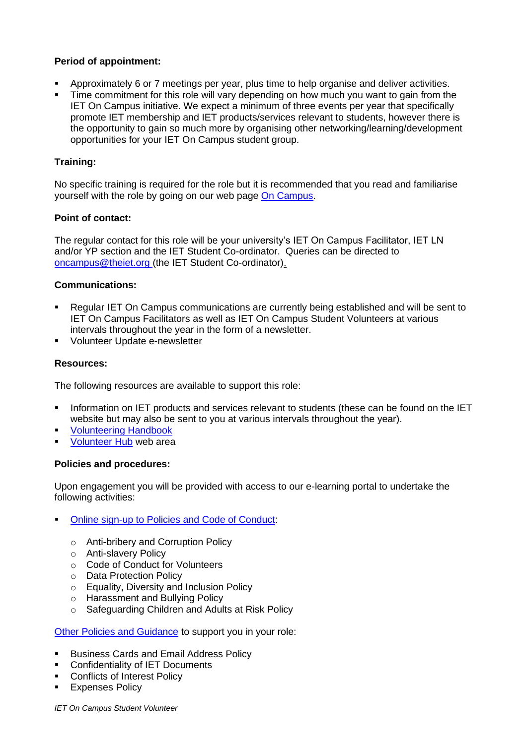# **Period of appointment:**

- Approximately 6 or 7 meetings per year, plus time to help organise and deliver activities.
- Time commitment for this role will vary depending on how much you want to gain from the IET On Campus initiative. We expect a minimum of three events per year that specifically promote IET membership and IET products/services relevant to students, however there is the opportunity to gain so much more by organising other networking/learning/development opportunities for your IET On Campus student group.

# **Training:**

No specific training is required for the role but it is recommended that you read and familiarise yourself with the role by going on our web page [On Campus.](https://www.theiet.org/career/career-support/early-career/on-campus/)

# **Point of contact:**

The regular contact for this role will be your university's IET On Campus Facilitator, IET LN and/or YP section and the IET Student Co-ordinator. Queries can be directed to [oncampus@theiet.org](mailto:oncampus@theiet.org) (the IET Student Co-ordinator).

# **Communications:**

- Regular IET On Campus communications are currently being established and will be sent to IET On Campus Facilitators as well as IET On Campus Student Volunteers at various intervals throughout the year in the form of a newsletter.
- Volunteer Update e-newsletter

# **Resources:**

The following resources are available to support this role:

- **.** Information on IET products and services relevant to students (these can be found on the IET website but may also be sent to you at various intervals throughout the year).
- **[Volunteering Handbook](https://www.theiet.org/involved/volunteering-for-the-iet/volunteer-hub/resources/your-guide-to-volunteering-at-the-iet/)**
- **[Volunteer Hub](https://www.theiet.org/involved/volunteering-for-the-iet/volunteer-hub) web area**

#### **Policies and procedures:**

Upon engagement you will be provided with access to our e-learning portal to undertake the following activities:

- [Online sign-up to Policies and Code of Conduct:](https://www.theiet.org/involved/volunteering-for-the-iet/volunteer-hub/our-policies/)
	- o Anti-bribery and Corruption Policy
	- o Anti-slavery Policy
	- o Code of Conduct for Volunteers
	- o Data Protection Policy
	- o Equality, Diversity and Inclusion Policy
	- o Harassment and Bullying Policy
	- o Safeguarding Children and Adults at Risk Policy

#### [Other Policies and Guidance](https://www.theiet.org/involved/volunteering-for-the-iet/volunteer-hub/our-policies/) to support you in your role:

- **E.** Business Cards and Email Address Policy
- **Confidentiality of IET Documents**
- Conflicts of Interest Policy
- **Expenses Policy**

*IET On Campus Student Volunteer*